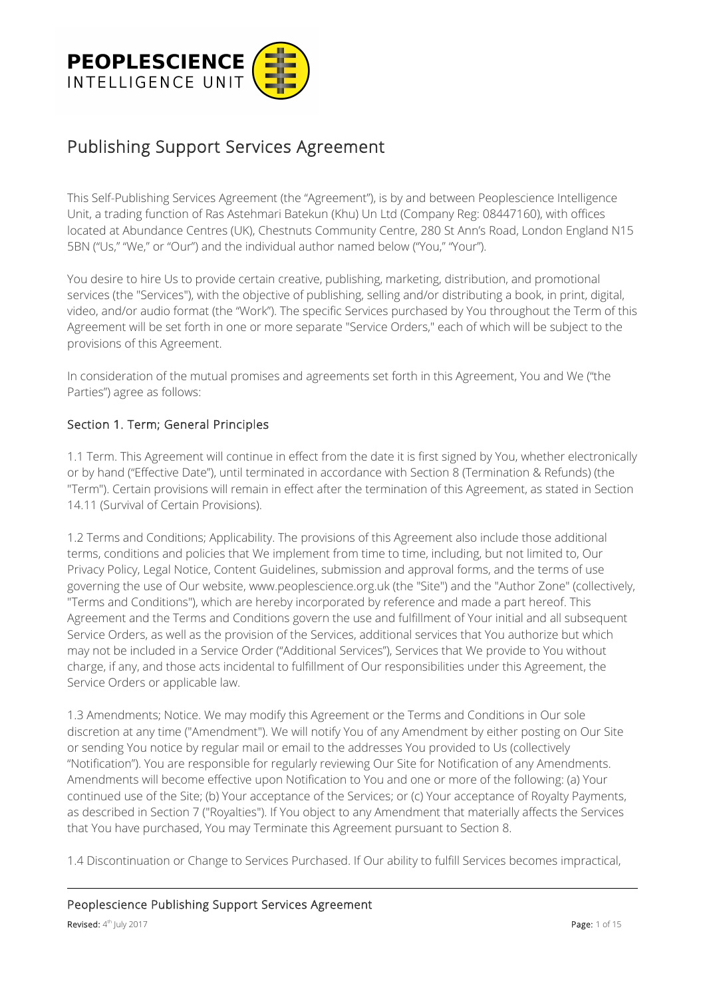

# Publishing Support Services Agreement

This Self-Publishing Services Agreement (the "Agreement"), is by and between Peoplescience Intelligence Unit, a trading function of Ras Astehmari Batekun (Khu) Un Ltd (Company Reg: 08447160), with offices located at Abundance Centres (UK), Chestnuts Community Centre, 280 St Ann's Road, London England N15 5BN ("Us," "We," or "Our") and the individual author named below ("You," "Your").

You desire to hire Us to provide certain creative, publishing, marketing, distribution, and promotional services (the "Services"), with the objective of publishing, selling and/or distributing a book, in print, digital, video, and/or audio format (the "Work"). The specific Services purchased by You throughout the Term of this Agreement will be set forth in one or more separate "Service Orders," each of which will be subject to the provisions of this Agreement.

In consideration of the mutual promises and agreements set forth in this Agreement, You and We ("the Parties") agree as follows:

### Section 1. Term; General Principles

1.1 Term. This Agreement will continue in effect from the date it is first signed by You, whether electronically or by hand ("Effective Date"), until terminated in accordance with Section 8 (Termination & Refunds) (the "Term"). Certain provisions will remain in effect after the termination of this Agreement, as stated in Section 14.11 (Survival of Certain Provisions).

1.2 Terms and Conditions; Applicability. The provisions of this Agreement also include those additional terms, conditions and policies that We implement from time to time, including, but not limited to, Our Privacy Policy, Legal Notice, Content Guidelines, submission and approval forms, and the terms of use governing the use of Our website, www.peoplescience.org.uk (the "Site") and the "Author Zone" (collectively, "Terms and Conditions"), which are hereby incorporated by reference and made a part hereof. This Agreement and the Terms and Conditions govern the use and fulfillment of Your initial and all subsequent Service Orders, as well as the provision of the Services, additional services that You authorize but which may not be included in a Service Order ("Additional Services"), Services that We provide to You without charge, if any, and those acts incidental to fulfillment of Our responsibilities under this Agreement, the Service Orders or applicable law.

1.3 Amendments; Notice. We may modify this Agreement or the Terms and Conditions in Our sole discretion at any time ("Amendment"). We will notify You of any Amendment by either posting on Our Site or sending You notice by regular mail or email to the addresses You provided to Us (collectively "Notification"). You are responsible for regularly reviewing Our Site for Notification of any Amendments. Amendments will become effective upon Notification to You and one or more of the following: (a) Your continued use of the Site; (b) Your acceptance of the Services; or (c) Your acceptance of Royalty Payments, as described in Section 7 ("Royalties"). If You object to any Amendment that materially affects the Services that You have purchased, You may Terminate this Agreement pursuant to Section 8.

1.4 Discontinuation or Change to Services Purchased. If Our ability to fulfill Services becomes impractical,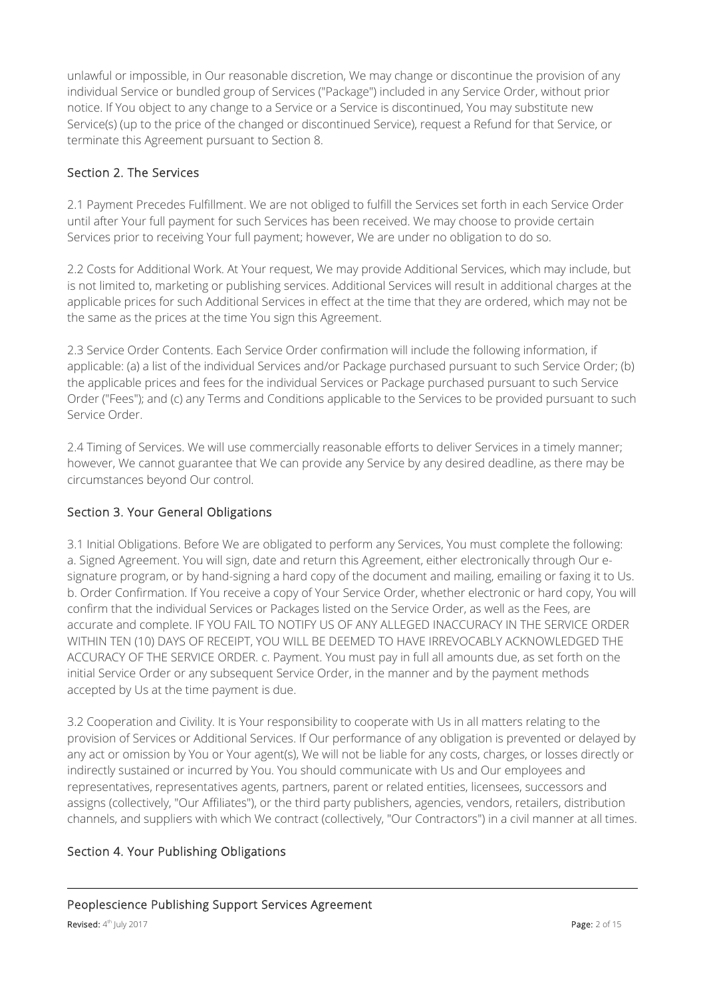unlawful or impossible, in Our reasonable discretion, We may change or discontinue the provision of any individual Service or bundled group of Services ("Package") included in any Service Order, without prior notice. If You object to any change to a Service or a Service is discontinued, You may substitute new Service(s) (up to the price of the changed or discontinued Service), request a Refund for that Service, or terminate this Agreement pursuant to Section 8.

## Section 2. The Services

2.1 Payment Precedes Fulfillment. We are not obliged to fulfill the Services set forth in each Service Order until after Your full payment for such Services has been received. We may choose to provide certain Services prior to receiving Your full payment; however, We are under no obligation to do so.

2.2 Costs for Additional Work. At Your request, We may provide Additional Services, which may include, but is not limited to, marketing or publishing services. Additional Services will result in additional charges at the applicable prices for such Additional Services in effect at the time that they are ordered, which may not be the same as the prices at the time You sign this Agreement.

2.3 Service Order Contents. Each Service Order confirmation will include the following information, if applicable: (a) a list of the individual Services and/or Package purchased pursuant to such Service Order; (b) the applicable prices and fees for the individual Services or Package purchased pursuant to such Service Order ("Fees"); and (c) any Terms and Conditions applicable to the Services to be provided pursuant to such Service Order.

2.4 Timing of Services. We will use commercially reasonable efforts to deliver Services in a timely manner; however, We cannot guarantee that We can provide any Service by any desired deadline, as there may be circumstances beyond Our control.

## Section 3. Your General Obligations

3.1 Initial Obligations. Before We are obligated to perform any Services, You must complete the following: a. Signed Agreement. You will sign, date and return this Agreement, either electronically through Our esignature program, or by hand-signing a hard copy of the document and mailing, emailing or faxing it to Us. b. Order Confirmation. If You receive a copy of Your Service Order, whether electronic or hard copy, You will confirm that the individual Services or Packages listed on the Service Order, as well as the Fees, are accurate and complete. IF YOU FAIL TO NOTIFY US OF ANY ALLEGED INACCURACY IN THE SERVICE ORDER WITHIN TEN (10) DAYS OF RECEIPT, YOU WILL BE DEEMED TO HAVE IRREVOCABLY ACKNOWLEDGED THE ACCURACY OF THE SERVICE ORDER. c. Payment. You must pay in full all amounts due, as set forth on the initial Service Order or any subsequent Service Order, in the manner and by the payment methods accepted by Us at the time payment is due.

3.2 Cooperation and Civility. It is Your responsibility to cooperate with Us in all matters relating to the provision of Services or Additional Services. If Our performance of any obligation is prevented or delayed by any act or omission by You or Your agent(s), We will not be liable for any costs, charges, or losses directly or indirectly sustained or incurred by You. You should communicate with Us and Our employees and representatives, representatives agents, partners, parent or related entities, licensees, successors and assigns (collectively, "Our Affiliates"), or the third party publishers, agencies, vendors, retailers, distribution channels, and suppliers with which We contract (collectively, "Our Contractors") in a civil manner at all times.

#### Section 4. Your Publishing Obligations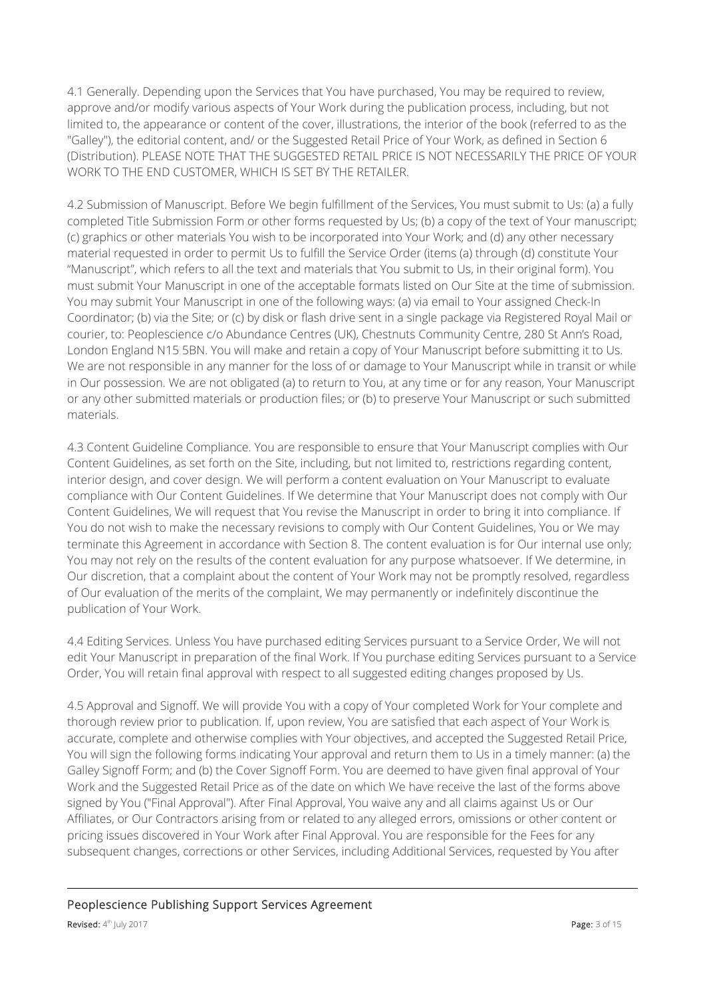4.1 Generally. Depending upon the Services that You have purchased, You may be required to review, approve and/or modify various aspects of Your Work during the publication process, including, but not limited to, the appearance or content of the cover, illustrations, the interior of the book (referred to as the "Galley"), the editorial content, and/ or the Suggested Retail Price of Your Work, as defined in Section 6 (Distribution). PLEASE NOTE THAT THE SUGGESTED RETAIL PRICE IS NOT NECESSARILY THE PRICE OF YOUR WORK TO THE END CUSTOMER, WHICH IS SET BY THE RETAILER.

4.2 Submission of Manuscript. Before We begin fulfillment of the Services, You must submit to Us: (a) a fully completed Title Submission Form or other forms requested by Us; (b) a copy of the text of Your manuscript; (c) graphics or other materials You wish to be incorporated into Your Work; and (d) any other necessary material requested in order to permit Us to fulfill the Service Order (items (a) through (d) constitute Your "Manuscript", which refers to all the text and materials that You submit to Us, in their original form). You must submit Your Manuscript in one of the acceptable formats listed on Our Site at the time of submission. You may submit Your Manuscript in one of the following ways: (a) via email to Your assigned Check-In Coordinator; (b) via the Site; or (c) by disk or flash drive sent in a single package via Registered Royal Mail or courier, to: Peoplescience c/o Abundance Centres (UK), Chestnuts Community Centre, 280 St Ann's Road, London England N15 5BN. You will make and retain a copy of Your Manuscript before submitting it to Us. We are not responsible in any manner for the loss of or damage to Your Manuscript while in transit or while in Our possession. We are not obligated (a) to return to You, at any time or for any reason, Your Manuscript or any other submitted materials or production files; or (b) to preserve Your Manuscript or such submitted materials.

4.3 Content Guideline Compliance. You are responsible to ensure that Your Manuscript complies with Our Content Guidelines, as set forth on the Site, including, but not limited to, restrictions regarding content, interior design, and cover design. We will perform a content evaluation on Your Manuscript to evaluate compliance with Our Content Guidelines. If We determine that Your Manuscript does not comply with Our Content Guidelines, We will request that You revise the Manuscript in order to bring it into compliance. If You do not wish to make the necessary revisions to comply with Our Content Guidelines, You or We may terminate this Agreement in accordance with Section 8. The content evaluation is for Our internal use only; You may not rely on the results of the content evaluation for any purpose whatsoever. If We determine, in Our discretion, that a complaint about the content of Your Work may not be promptly resolved, regardless of Our evaluation of the merits of the complaint, We may permanently or indefinitely discontinue the publication of Your Work.

4.4 Editing Services. Unless You have purchased editing Services pursuant to a Service Order, We will not edit Your Manuscript in preparation of the final Work. If You purchase editing Services pursuant to a Service Order, You will retain final approval with respect to all suggested editing changes proposed by Us.

4.5 Approval and Signoff. We will provide You with a copy of Your completed Work for Your complete and thorough review prior to publication. If, upon review, You are satisfied that each aspect of Your Work is accurate, complete and otherwise complies with Your objectives, and accepted the Suggested Retail Price, You will sign the following forms indicating Your approval and return them to Us in a timely manner: (a) the Galley Signoff Form; and (b) the Cover Signoff Form. You are deemed to have given final approval of Your Work and the Suggested Retail Price as of the date on which We have receive the last of the forms above signed by You ("Final Approval"). After Final Approval, You waive any and all claims against Us or Our Affiliates, or Our Contractors arising from or related to any alleged errors, omissions or other content or pricing issues discovered in Your Work after Final Approval. You are responsible for the Fees for any subsequent changes, corrections or other Services, including Additional Services, requested by You after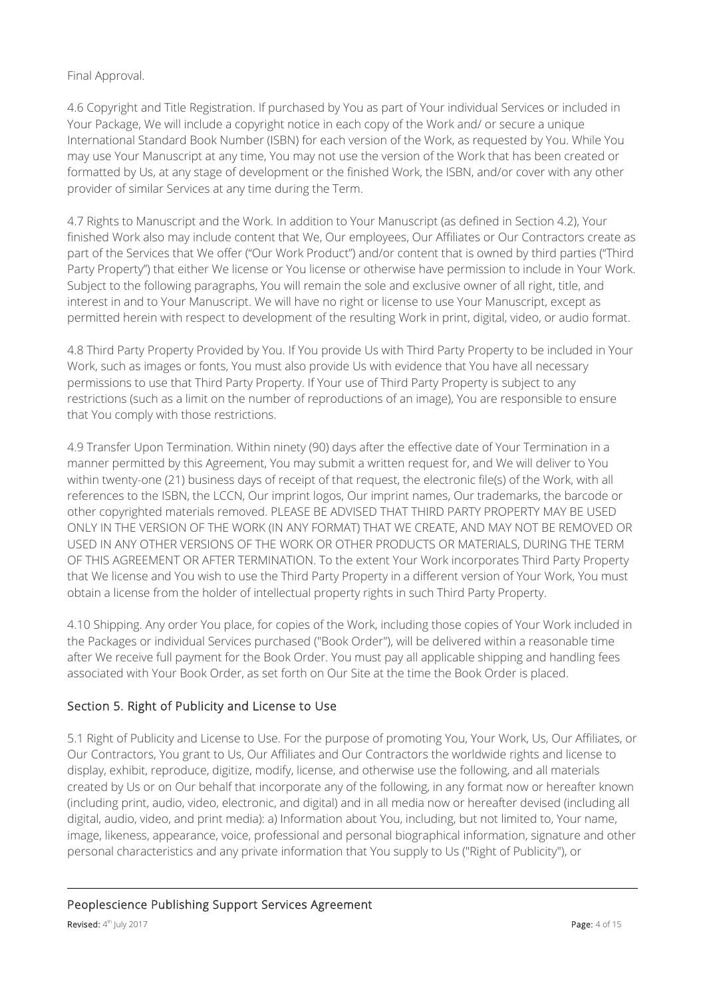#### Final Approval.

4.6 Copyright and Title Registration. If purchased by You as part of Your individual Services or included in Your Package, We will include a copyright notice in each copy of the Work and/ or secure a unique International Standard Book Number (ISBN) for each version of the Work, as requested by You. While You may use Your Manuscript at any time, You may not use the version of the Work that has been created or formatted by Us, at any stage of development or the finished Work, the ISBN, and/or cover with any other provider of similar Services at any time during the Term.

4.7 Rights to Manuscript and the Work. In addition to Your Manuscript (as defined in Section 4.2), Your finished Work also may include content that We, Our employees, Our Affiliates or Our Contractors create as part of the Services that We offer ("Our Work Product") and/or content that is owned by third parties ("Third Party Property") that either We license or You license or otherwise have permission to include in Your Work. Subject to the following paragraphs, You will remain the sole and exclusive owner of all right, title, and interest in and to Your Manuscript. We will have no right or license to use Your Manuscript, except as permitted herein with respect to development of the resulting Work in print, digital, video, or audio format.

4.8 Third Party Property Provided by You. If You provide Us with Third Party Property to be included in Your Work, such as images or fonts, You must also provide Us with evidence that You have all necessary permissions to use that Third Party Property. If Your use of Third Party Property is subject to any restrictions (such as a limit on the number of reproductions of an image), You are responsible to ensure that You comply with those restrictions.

4.9 Transfer Upon Termination. Within ninety (90) days after the effective date of Your Termination in a manner permitted by this Agreement, You may submit a written request for, and We will deliver to You within twenty-one (21) business days of receipt of that request, the electronic file(s) of the Work, with all references to the ISBN, the LCCN, Our imprint logos, Our imprint names, Our trademarks, the barcode or other copyrighted materials removed. PLEASE BE ADVISED THAT THIRD PARTY PROPERTY MAY BE USED ONLY IN THE VERSION OF THE WORK (IN ANY FORMAT) THAT WE CREATE, AND MAY NOT BE REMOVED OR USED IN ANY OTHER VERSIONS OF THE WORK OR OTHER PRODUCTS OR MATERIALS, DURING THE TERM OF THIS AGREEMENT OR AFTER TERMINATION. To the extent Your Work incorporates Third Party Property that We license and You wish to use the Third Party Property in a different version of Your Work, You must obtain a license from the holder of intellectual property rights in such Third Party Property.

4.10 Shipping. Any order You place, for copies of the Work, including those copies of Your Work included in the Packages or individual Services purchased ("Book Order"), will be delivered within a reasonable time after We receive full payment for the Book Order. You must pay all applicable shipping and handling fees associated with Your Book Order, as set forth on Our Site at the time the Book Order is placed.

## Section 5. Right of Publicity and License to Use

5.1 Right of Publicity and License to Use. For the purpose of promoting You, Your Work, Us, Our Affiliates, or Our Contractors, You grant to Us, Our Affiliates and Our Contractors the worldwide rights and license to display, exhibit, reproduce, digitize, modify, license, and otherwise use the following, and all materials created by Us or on Our behalf that incorporate any of the following, in any format now or hereafter known (including print, audio, video, electronic, and digital) and in all media now or hereafter devised (including all digital, audio, video, and print media): a) Information about You, including, but not limited to, Your name, image, likeness, appearance, voice, professional and personal biographical information, signature and other personal characteristics and any private information that You supply to Us ("Right of Publicity"), or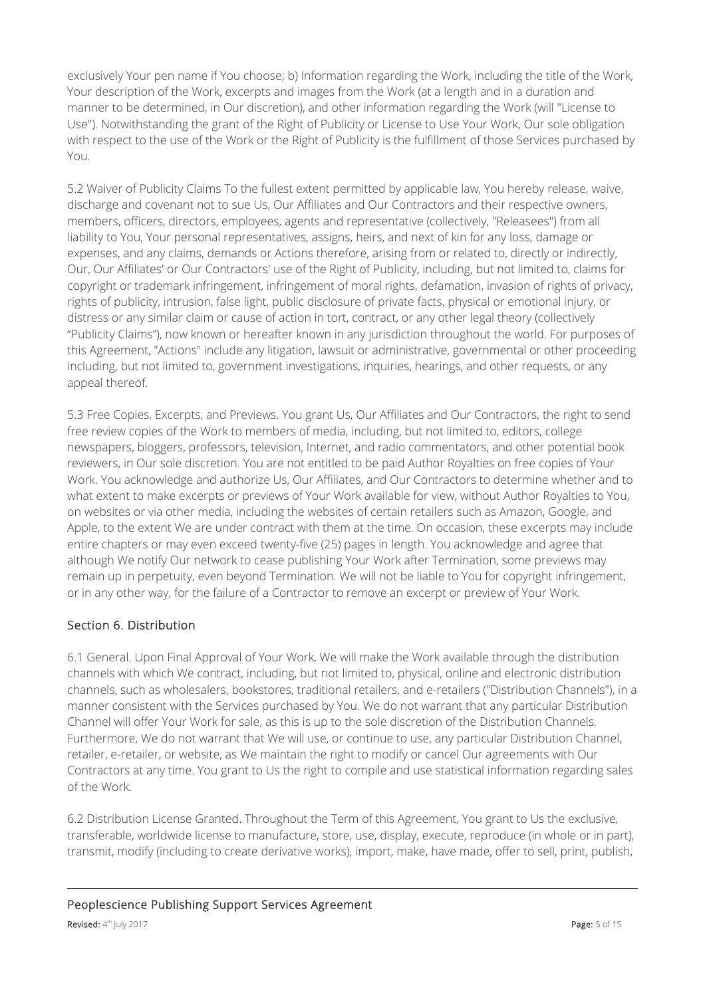exclusively Your pen name if You choose; b) Information regarding the Work, including the title of the Work, Your description of the Work, excerpts and images from the Work (at a length and in a duration and manner to be determined, in Our discretion), and other information regarding the Work (will "License to Use"). Notwithstanding the grant of the Right of Publicity or License to Use Your Work, Our sole obligation with respect to the use of the Work or the Right of Publicity is the fulfillment of those Services purchased by You.

5.2 Waiver of Publicity Claims To the fullest extent permitted by applicable law, You hereby release, waive, discharge and covenant not to sue Us, Our Affiliates and Our Contractors and their respective owners, members, officers, directors, employees, agents and representative (collectively, "Releasees") from all liability to You, Your personal representatives, assigns, heirs, and next of kin for any loss, damage or expenses, and any claims, demands or Actions therefore, arising from or related to, directly or indirectly, Our, Our Affiliates' or Our Contractors' use of the Right of Publicity, including, but not limited to, claims for copyright or trademark infringement, infringement of moral rights, defamation, invasion of rights of privacy, rights of publicity, intrusion, false light, public disclosure of private facts, physical or emotional injury, or distress or any similar claim or cause of action in tort, contract, or any other legal theory (collectively "Publicity Claims"), now known or hereafter known in any jurisdiction throughout the world. For purposes of this Agreement, "Actions" include any litigation, lawsuit or administrative, governmental or other proceeding including, but not limited to, government investigations, inquiries, hearings, and other requests, or any appeal thereof.

5.3 Free Copies, Excerpts, and Previews. You grant Us, Our Affiliates and Our Contractors, the right to send free review copies of the Work to members of media, including, but not limited to, editors, college newspapers, bloggers, professors, television, Internet, and radio commentators, and other potential book reviewers, in Our sole discretion. You are not entitled to be paid Author Royalties on free copies of Your Work. You acknowledge and authorize Us, Our Affiliates, and Our Contractors to determine whether and to what extent to make excerpts or previews of Your Work available for view, without Author Royalties to You, on websites or via other media, including the websites of certain retailers such as Amazon, Google, and Apple, to the extent We are under contract with them at the time. On occasion, these excerpts may include entire chapters or may even exceed twenty-five (25) pages in length. You acknowledge and agree that although We notify Our network to cease publishing Your Work after Termination, some previews may remain up in perpetuity, even beyond Termination. We will not be liable to You for copyright infringement, or in any other way, for the failure of a Contractor to remove an excerpt or preview of Your Work.

## Section 6. Distribution

6.1 General. Upon Final Approval of Your Work, We will make the Work available through the distribution channels with which We contract, including, but not limited to, physical, online and electronic distribution channels, such as wholesalers, bookstores, traditional retailers, and e-retailers ("Distribution Channels"), in a manner consistent with the Services purchased by You. We do not warrant that any particular Distribution Channel will offer Your Work for sale, as this is up to the sole discretion of the Distribution Channels. Furthermore, We do not warrant that We will use, or continue to use, any particular Distribution Channel, retailer, e-retailer, or website, as We maintain the right to modify or cancel Our agreements with Our Contractors at any time. You grant to Us the right to compile and use statistical information regarding sales of the Work.

6.2 Distribution License Granted. Throughout the Term of this Agreement, You grant to Us the exclusive, transferable, worldwide license to manufacture, store, use, display, execute, reproduce (in whole or in part), transmit, modify (including to create derivative works), import, make, have made, offer to sell, print, publish,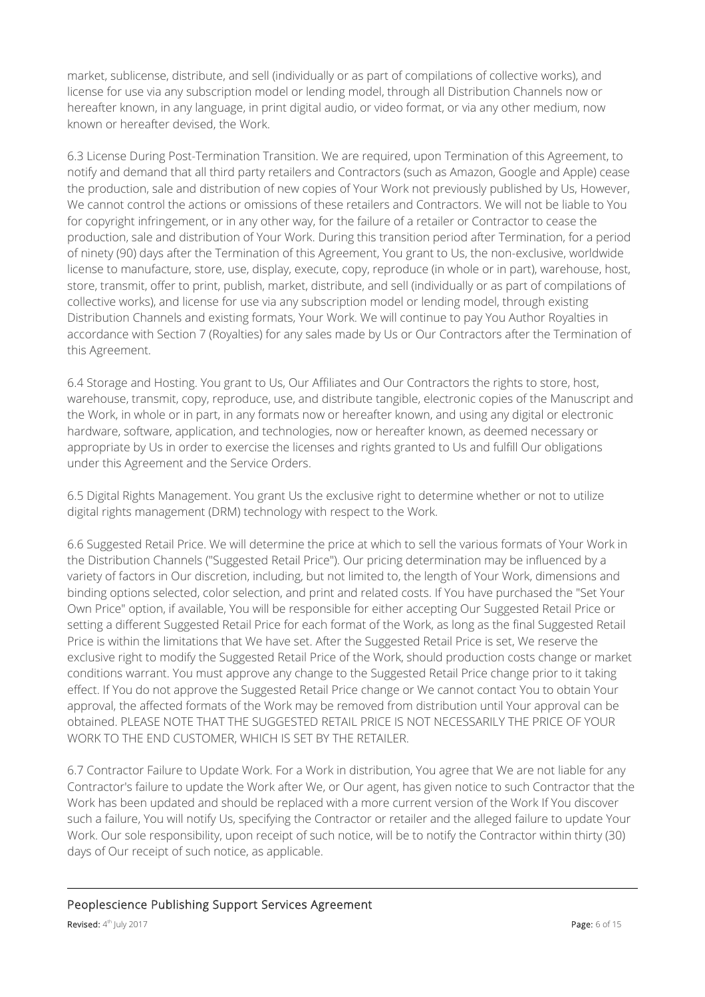market, sublicense, distribute, and sell (individually or as part of compilations of collective works), and license for use via any subscription model or lending model, through all Distribution Channels now or hereafter known, in any language, in print digital audio, or video format, or via any other medium, now known or hereafter devised, the Work.

6.3 License During Post-Termination Transition. We are required, upon Termination of this Agreement, to notify and demand that all third party retailers and Contractors (such as Amazon, Google and Apple) cease the production, sale and distribution of new copies of Your Work not previously published by Us, However, We cannot control the actions or omissions of these retailers and Contractors. We will not be liable to You for copyright infringement, or in any other way, for the failure of a retailer or Contractor to cease the production, sale and distribution of Your Work. During this transition period after Termination, for a period of ninety (90) days after the Termination of this Agreement, You grant to Us, the non-exclusive, worldwide license to manufacture, store, use, display, execute, copy, reproduce (in whole or in part), warehouse, host, store, transmit, offer to print, publish, market, distribute, and sell (individually or as part of compilations of collective works), and license for use via any subscription model or lending model, through existing Distribution Channels and existing formats, Your Work. We will continue to pay You Author Royalties in accordance with Section 7 (Royalties) for any sales made by Us or Our Contractors after the Termination of this Agreement.

6.4 Storage and Hosting. You grant to Us, Our Affiliates and Our Contractors the rights to store, host, warehouse, transmit, copy, reproduce, use, and distribute tangible, electronic copies of the Manuscript and the Work, in whole or in part, in any formats now or hereafter known, and using any digital or electronic hardware, software, application, and technologies, now or hereafter known, as deemed necessary or appropriate by Us in order to exercise the licenses and rights granted to Us and fulfill Our obligations under this Agreement and the Service Orders.

6.5 Digital Rights Management. You grant Us the exclusive right to determine whether or not to utilize digital rights management (DRM) technology with respect to the Work.

6.6 Suggested Retail Price. We will determine the price at which to sell the various formats of Your Work in the Distribution Channels ("Suggested Retail Price"). Our pricing determination may be influenced by a variety of factors in Our discretion, including, but not limited to, the length of Your Work, dimensions and binding options selected, color selection, and print and related costs. If You have purchased the "Set Your Own Price" option, if available, You will be responsible for either accepting Our Suggested Retail Price or setting a different Suggested Retail Price for each format of the Work, as long as the final Suggested Retail Price is within the limitations that We have set. After the Suggested Retail Price is set, We reserve the exclusive right to modify the Suggested Retail Price of the Work, should production costs change or market conditions warrant. You must approve any change to the Suggested Retail Price change prior to it taking effect. If You do not approve the Suggested Retail Price change or We cannot contact You to obtain Your approval, the affected formats of the Work may be removed from distribution until Your approval can be obtained. PLEASE NOTE THAT THE SUGGESTED RETAIL PRICE IS NOT NECESSARILY THE PRICE OF YOUR WORK TO THE END CUSTOMER, WHICH IS SET BY THE RETAILER.

6.7 Contractor Failure to Update Work. For a Work in distribution, You agree that We are not liable for any Contractor's failure to update the Work after We, or Our agent, has given notice to such Contractor that the Work has been updated and should be replaced with a more current version of the Work If You discover such a failure, You will notify Us, specifying the Contractor or retailer and the alleged failure to update Your Work. Our sole responsibility, upon receipt of such notice, will be to notify the Contractor within thirty (30) days of Our receipt of such notice, as applicable.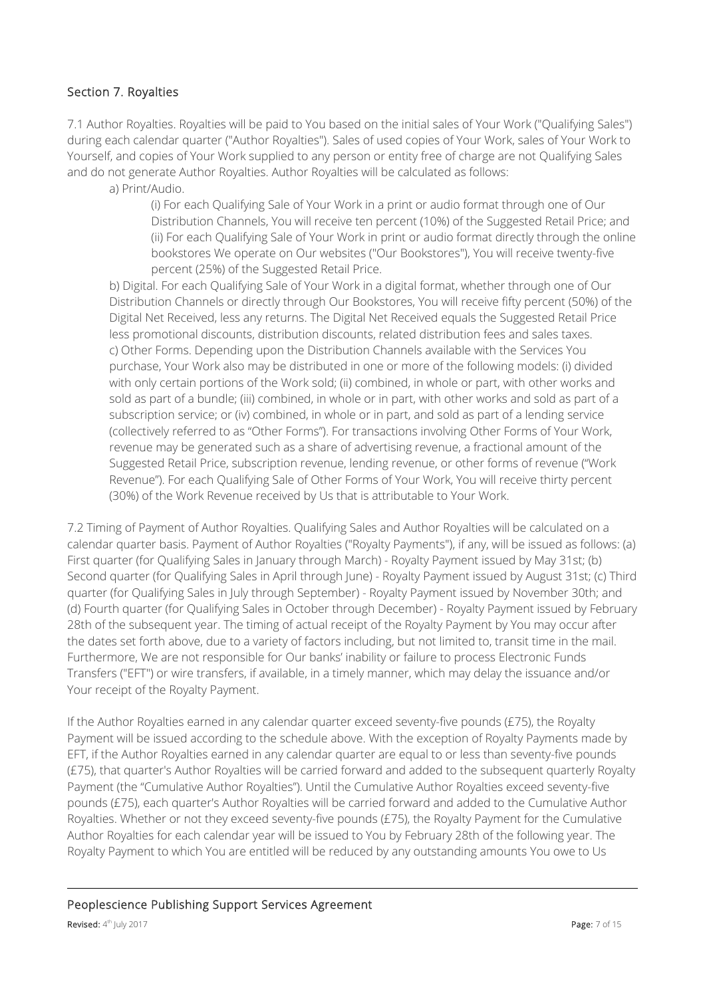#### Section 7. Royalties

7.1 Author Royalties. Royalties will be paid to You based on the initial sales of Your Work ("Qualifying Sales") during each calendar quarter ("Author Royalties"). Sales of used copies of Your Work, sales of Your Work to Yourself, and copies of Your Work supplied to any person or entity free of charge are not Qualifying Sales and do not generate Author Royalties. Author Royalties will be calculated as follows:

a) Print/Audio.

(i) For each Qualifying Sale of Your Work in a print or audio format through one of Our Distribution Channels, You will receive ten percent (10%) of the Suggested Retail Price; and (ii) For each Qualifying Sale of Your Work in print or audio format directly through the online bookstores We operate on Our websites ("Our Bookstores"), You will receive twenty-five percent (25%) of the Suggested Retail Price.

b) Digital. For each Qualifying Sale of Your Work in a digital format, whether through one of Our Distribution Channels or directly through Our Bookstores, You will receive fifty percent (50%) of the Digital Net Received, less any returns. The Digital Net Received equals the Suggested Retail Price less promotional discounts, distribution discounts, related distribution fees and sales taxes. c) Other Forms. Depending upon the Distribution Channels available with the Services You purchase, Your Work also may be distributed in one or more of the following models: (i) divided with only certain portions of the Work sold; (ii) combined, in whole or part, with other works and sold as part of a bundle; (iii) combined, in whole or in part, with other works and sold as part of a subscription service; or (iv) combined, in whole or in part, and sold as part of a lending service (collectively referred to as "Other Forms"). For transactions involving Other Forms of Your Work, revenue may be generated such as a share of advertising revenue, a fractional amount of the Suggested Retail Price, subscription revenue, lending revenue, or other forms of revenue ("Work Revenue"). For each Qualifying Sale of Other Forms of Your Work, You will receive thirty percent (30%) of the Work Revenue received by Us that is attributable to Your Work.

7.2 Timing of Payment of Author Royalties. Qualifying Sales and Author Royalties will be calculated on a calendar quarter basis. Payment of Author Royalties ("Royalty Payments"), if any, will be issued as follows: (a) First quarter (for Qualifying Sales in January through March) - Royalty Payment issued by May 31st; (b) Second quarter (for Qualifying Sales in April through June) - Royalty Payment issued by August 31st; (c) Third quarter (for Qualifying Sales in July through September) - Royalty Payment issued by November 30th; and (d) Fourth quarter (for Qualifying Sales in October through December) - Royalty Payment issued by February 28th of the subsequent year. The timing of actual receipt of the Royalty Payment by You may occur after the dates set forth above, due to a variety of factors including, but not limited to, transit time in the mail. Furthermore, We are not responsible for Our banks' inability or failure to process Electronic Funds Transfers ("EFT") or wire transfers, if available, in a timely manner, which may delay the issuance and/or Your receipt of the Royalty Payment.

If the Author Royalties earned in any calendar quarter exceed seventy-five pounds (£75), the Royalty Payment will be issued according to the schedule above. With the exception of Royalty Payments made by EFT, if the Author Royalties earned in any calendar quarter are equal to or less than seventy-five pounds (£75), that quarter's Author Royalties will be carried forward and added to the subsequent quarterly Royalty Payment (the "Cumulative Author Royalties"). Until the Cumulative Author Royalties exceed seventy-five pounds (£75), each quarter's Author Royalties will be carried forward and added to the Cumulative Author Royalties. Whether or not they exceed seventy-five pounds (£75), the Royalty Payment for the Cumulative Author Royalties for each calendar year will be issued to You by February 28th of the following year. The Royalty Payment to which You are entitled will be reduced by any outstanding amounts You owe to Us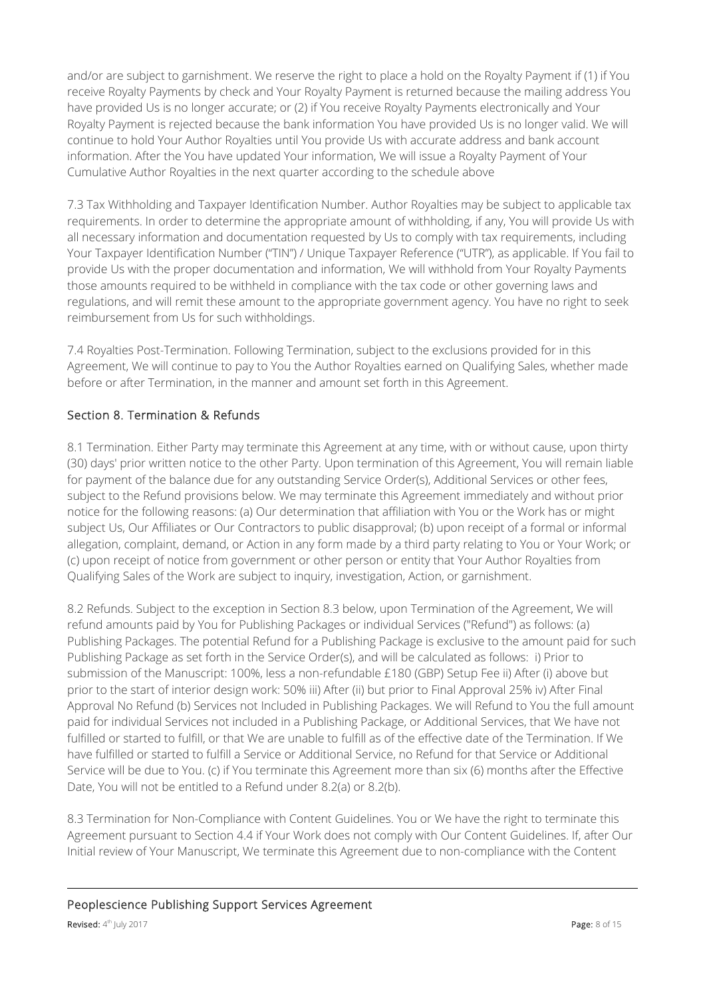and/or are subject to garnishment. We reserve the right to place a hold on the Royalty Payment if (1) if You receive Royalty Payments by check and Your Royalty Payment is returned because the mailing address You have provided Us is no longer accurate; or (2) if You receive Royalty Payments electronically and Your Royalty Payment is rejected because the bank information You have provided Us is no longer valid. We will continue to hold Your Author Royalties until You provide Us with accurate address and bank account information. After the You have updated Your information, We will issue a Royalty Payment of Your Cumulative Author Royalties in the next quarter according to the schedule above

7.3 Tax Withholding and Taxpayer Identification Number. Author Royalties may be subject to applicable tax requirements. In order to determine the appropriate amount of withholding, if any, You will provide Us with all necessary information and documentation requested by Us to comply with tax requirements, including Your Taxpayer Identification Number ("TIN") / Unique Taxpayer Reference ("UTR"), as applicable. If You fail to provide Us with the proper documentation and information, We will withhold from Your Royalty Payments those amounts required to be withheld in compliance with the tax code or other governing laws and regulations, and will remit these amount to the appropriate government agency. You have no right to seek reimbursement from Us for such withholdings.

7.4 Royalties Post-Termination. Following Termination, subject to the exclusions provided for in this Agreement, We will continue to pay to You the Author Royalties earned on Qualifying Sales, whether made before or after Termination, in the manner and amount set forth in this Agreement.

### Section 8. Termination & Refunds

8.1 Termination. Either Party may terminate this Agreement at any time, with or without cause, upon thirty (30) days' prior written notice to the other Party. Upon termination of this Agreement, You will remain liable for payment of the balance due for any outstanding Service Order(s), Additional Services or other fees, subject to the Refund provisions below. We may terminate this Agreement immediately and without prior notice for the following reasons: (a) Our determination that affiliation with You or the Work has or might subject Us, Our Affiliates or Our Contractors to public disapproval; (b) upon receipt of a formal or informal allegation, complaint, demand, or Action in any form made by a third party relating to You or Your Work; or (c) upon receipt of notice from government or other person or entity that Your Author Royalties from Qualifying Sales of the Work are subject to inquiry, investigation, Action, or garnishment.

8.2 Refunds. Subject to the exception in Section 8.3 below, upon Termination of the Agreement, We will refund amounts paid by You for Publishing Packages or individual Services ("Refund") as follows: (a) Publishing Packages. The potential Refund for a Publishing Package is exclusive to the amount paid for such Publishing Package as set forth in the Service Order(s), and will be calculated as follows: i) Prior to submission of the Manuscript: 100%, less a non-refundable £180 (GBP) Setup Fee ii) After (i) above but prior to the start of interior design work: 50% iii) After (ii) but prior to Final Approval 25% iv) After Final Approval No Refund (b) Services not Included in Publishing Packages. We will Refund to You the full amount paid for individual Services not included in a Publishing Package, or Additional Services, that We have not fulfilled or started to fulfill, or that We are unable to fulfill as of the effective date of the Termination. If We have fulfilled or started to fulfill a Service or Additional Service, no Refund for that Service or Additional Service will be due to You. (c) if You terminate this Agreement more than six (6) months after the Effective Date, You will not be entitled to a Refund under 8.2(a) or 8.2(b).

8.3 Termination for Non-Compliance with Content Guidelines. You or We have the right to terminate this Agreement pursuant to Section 4.4 if Your Work does not comply with Our Content Guidelines. If, after Our Initial review of Your Manuscript, We terminate this Agreement due to non-compliance with the Content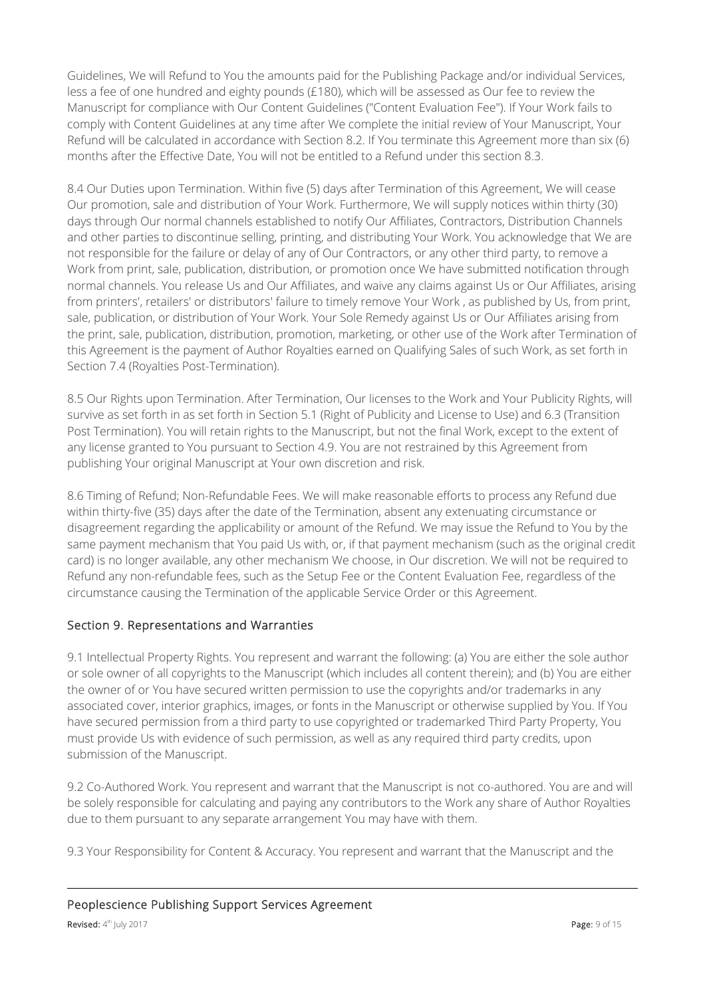Guidelines, We will Refund to You the amounts paid for the Publishing Package and/or individual Services, less a fee of one hundred and eighty pounds (£180), which will be assessed as Our fee to review the Manuscript for compliance with Our Content Guidelines ("Content Evaluation Fee"). If Your Work fails to comply with Content Guidelines at any time after We complete the initial review of Your Manuscript, Your Refund will be calculated in accordance with Section 8.2. If You terminate this Agreement more than six (6) months after the Effective Date, You will not be entitled to a Refund under this section 8.3.

8.4 Our Duties upon Termination. Within five (5) days after Termination of this Agreement, We will cease Our promotion, sale and distribution of Your Work. Furthermore, We will supply notices within thirty (30) days through Our normal channels established to notify Our Affiliates, Contractors, Distribution Channels and other parties to discontinue selling, printing, and distributing Your Work. You acknowledge that We are not responsible for the failure or delay of any of Our Contractors, or any other third party, to remove a Work from print, sale, publication, distribution, or promotion once We have submitted notification through normal channels. You release Us and Our Affiliates, and waive any claims against Us or Our Affiliates, arising from printers', retailers' or distributors' failure to timely remove Your Work , as published by Us, from print, sale, publication, or distribution of Your Work. Your Sole Remedy against Us or Our Affiliates arising from the print, sale, publication, distribution, promotion, marketing, or other use of the Work after Termination of this Agreement is the payment of Author Royalties earned on Qualifying Sales of such Work, as set forth in Section 7.4 (Royalties Post-Termination).

8.5 Our Rights upon Termination. After Termination, Our licenses to the Work and Your Publicity Rights, will survive as set forth in as set forth in Section 5.1 (Right of Publicity and License to Use) and 6.3 (Transition Post Termination). You will retain rights to the Manuscript, but not the final Work, except to the extent of any license granted to You pursuant to Section 4.9. You are not restrained by this Agreement from publishing Your original Manuscript at Your own discretion and risk.

8.6 Timing of Refund; Non-Refundable Fees. We will make reasonable efforts to process any Refund due within thirty-five (35) days after the date of the Termination, absent any extenuating circumstance or disagreement regarding the applicability or amount of the Refund. We may issue the Refund to You by the same payment mechanism that You paid Us with, or, if that payment mechanism (such as the original credit card) is no longer available, any other mechanism We choose, in Our discretion. We will not be required to Refund any non-refundable fees, such as the Setup Fee or the Content Evaluation Fee, regardless of the circumstance causing the Termination of the applicable Service Order or this Agreement.

## Section 9. Representations and Warranties

9.1 Intellectual Property Rights. You represent and warrant the following: (a) You are either the sole author or sole owner of all copyrights to the Manuscript (which includes all content therein); and (b) You are either the owner of or You have secured written permission to use the copyrights and/or trademarks in any associated cover, interior graphics, images, or fonts in the Manuscript or otherwise supplied by You. If You have secured permission from a third party to use copyrighted or trademarked Third Party Property, You must provide Us with evidence of such permission, as well as any required third party credits, upon submission of the Manuscript.

9.2 Co-Authored Work. You represent and warrant that the Manuscript is not co-authored. You are and will be solely responsible for calculating and paying any contributors to the Work any share of Author Royalties due to them pursuant to any separate arrangement You may have with them.

9.3 Your Responsibility for Content & Accuracy. You represent and warrant that the Manuscript and the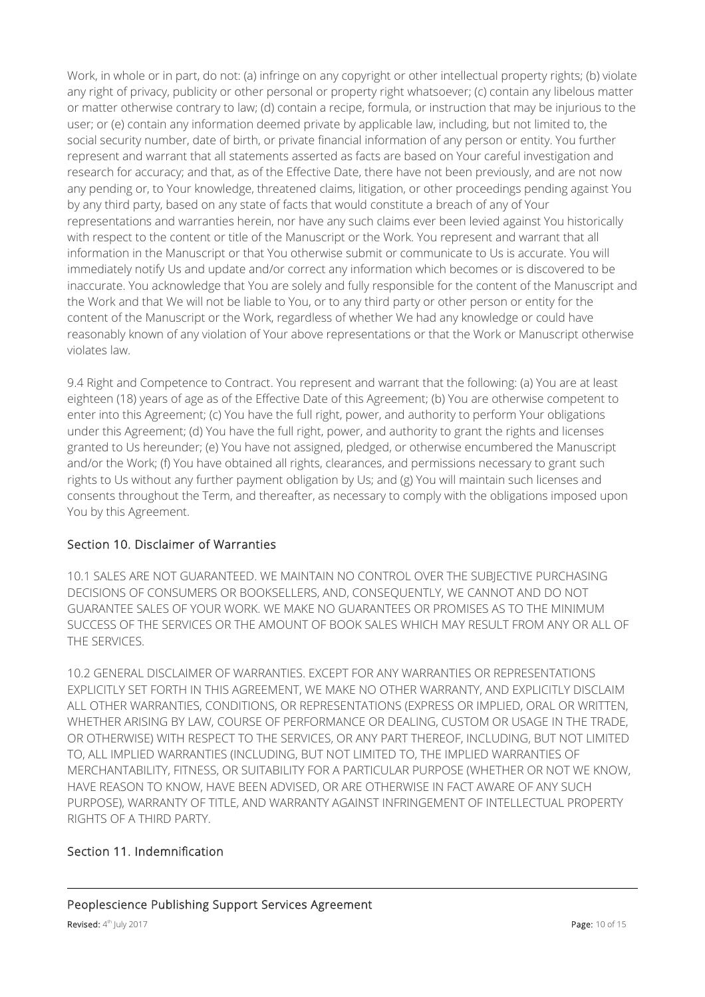Work, in whole or in part, do not: (a) infringe on any copyright or other intellectual property rights; (b) violate any right of privacy, publicity or other personal or property right whatsoever; (c) contain any libelous matter or matter otherwise contrary to law; (d) contain a recipe, formula, or instruction that may be injurious to the user; or (e) contain any information deemed private by applicable law, including, but not limited to, the social security number, date of birth, or private financial information of any person or entity. You further represent and warrant that all statements asserted as facts are based on Your careful investigation and research for accuracy; and that, as of the Effective Date, there have not been previously, and are not now any pending or, to Your knowledge, threatened claims, litigation, or other proceedings pending against You by any third party, based on any state of facts that would constitute a breach of any of Your representations and warranties herein, nor have any such claims ever been levied against You historically with respect to the content or title of the Manuscript or the Work. You represent and warrant that all information in the Manuscript or that You otherwise submit or communicate to Us is accurate. You will immediately notify Us and update and/or correct any information which becomes or is discovered to be inaccurate. You acknowledge that You are solely and fully responsible for the content of the Manuscript and the Work and that We will not be liable to You, or to any third party or other person or entity for the content of the Manuscript or the Work, regardless of whether We had any knowledge or could have reasonably known of any violation of Your above representations or that the Work or Manuscript otherwise violates law.

9.4 Right and Competence to Contract. You represent and warrant that the following: (a) You are at least eighteen (18) years of age as of the Effective Date of this Agreement; (b) You are otherwise competent to enter into this Agreement; (c) You have the full right, power, and authority to perform Your obligations under this Agreement; (d) You have the full right, power, and authority to grant the rights and licenses granted to Us hereunder; (e) You have not assigned, pledged, or otherwise encumbered the Manuscript and/or the Work; (f) You have obtained all rights, clearances, and permissions necessary to grant such rights to Us without any further payment obligation by Us; and (g) You will maintain such licenses and consents throughout the Term, and thereafter, as necessary to comply with the obligations imposed upon You by this Agreement.

## Section 10. Disclaimer of Warranties

10.1 SALES ARE NOT GUARANTEED. WE MAINTAIN NO CONTROL OVER THE SUBJECTIVE PURCHASING DECISIONS OF CONSUMERS OR BOOKSELLERS, AND, CONSEQUENTLY, WE CANNOT AND DO NOT GUARANTEE SALES OF YOUR WORK. WE MAKE NO GUARANTEES OR PROMISES AS TO THE MINIMUM SUCCESS OF THE SERVICES OR THE AMOUNT OF BOOK SALES WHICH MAY RESULT FROM ANY OR ALL OF THE SERVICES.

10.2 GENERAL DISCLAIMER OF WARRANTIES. EXCEPT FOR ANY WARRANTIES OR REPRESENTATIONS EXPLICITLY SET FORTH IN THIS AGREEMENT, WE MAKE NO OTHER WARRANTY, AND EXPLICITLY DISCLAIM ALL OTHER WARRANTIES, CONDITIONS, OR REPRESENTATIONS (EXPRESS OR IMPLIED, ORAL OR WRITTEN, WHETHER ARISING BY LAW, COURSE OF PERFORMANCE OR DEALING, CUSTOM OR USAGE IN THE TRADE, OR OTHERWISE) WITH RESPECT TO THE SERVICES, OR ANY PART THEREOF, INCLUDING, BUT NOT LIMITED TO, ALL IMPLIED WARRANTIES (INCLUDING, BUT NOT LIMITED TO, THE IMPLIED WARRANTIES OF MERCHANTABILITY, FITNESS, OR SUITABILITY FOR A PARTICULAR PURPOSE (WHETHER OR NOT WE KNOW, HAVE REASON TO KNOW, HAVE BEEN ADVISED, OR ARE OTHERWISE IN FACT AWARE OF ANY SUCH PURPOSE), WARRANTY OF TITLE, AND WARRANTY AGAINST INFRINGEMENT OF INTELLECTUAL PROPERTY RIGHTS OF A THIRD PARTY.

## Section 11. Indemnification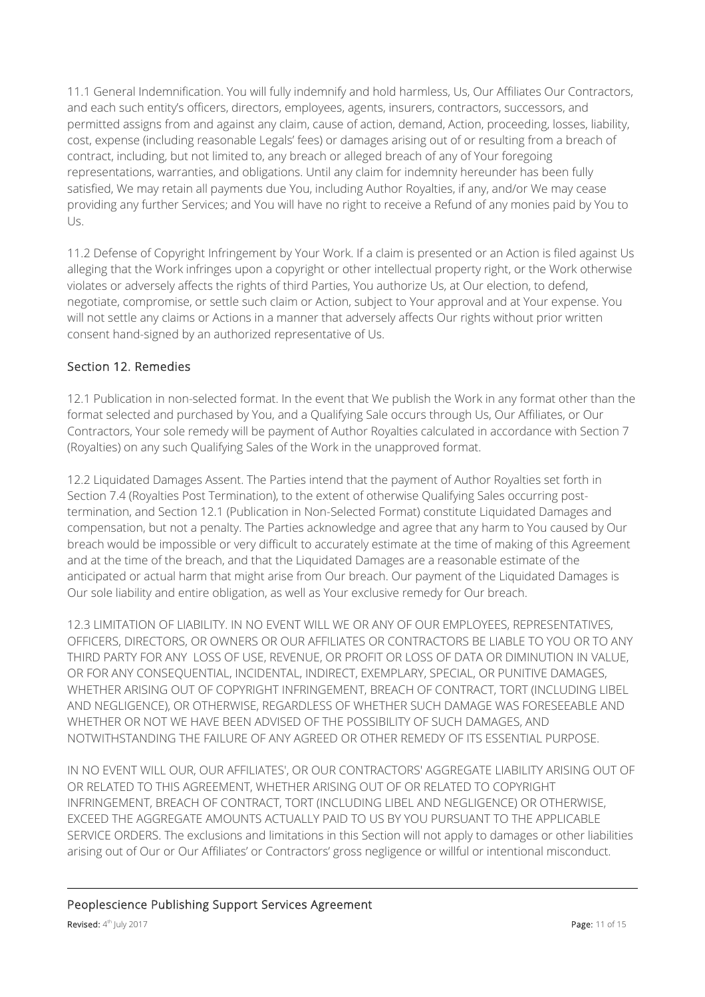11.1 General Indemnification. You will fully indemnify and hold harmless, Us, Our Affiliates Our Contractors, and each such entity's officers, directors, employees, agents, insurers, contractors, successors, and permitted assigns from and against any claim, cause of action, demand, Action, proceeding, losses, liability, cost, expense (including reasonable Legals' fees) or damages arising out of or resulting from a breach of contract, including, but not limited to, any breach or alleged breach of any of Your foregoing representations, warranties, and obligations. Until any claim for indemnity hereunder has been fully satisfied, We may retain all payments due You, including Author Royalties, if any, and/or We may cease providing any further Services; and You will have no right to receive a Refund of any monies paid by You to Us.

11.2 Defense of Copyright Infringement by Your Work. If a claim is presented or an Action is filed against Us alleging that the Work infringes upon a copyright or other intellectual property right, or the Work otherwise violates or adversely affects the rights of third Parties, You authorize Us, at Our election, to defend, negotiate, compromise, or settle such claim or Action, subject to Your approval and at Your expense. You will not settle any claims or Actions in a manner that adversely affects Our rights without prior written consent hand-signed by an authorized representative of Us.

## Section 12. Remedies

12.1 Publication in non-selected format. In the event that We publish the Work in any format other than the format selected and purchased by You, and a Qualifying Sale occurs through Us, Our Affiliates, or Our Contractors, Your sole remedy will be payment of Author Royalties calculated in accordance with Section 7 (Royalties) on any such Qualifying Sales of the Work in the unapproved format.

12.2 Liquidated Damages Assent. The Parties intend that the payment of Author Royalties set forth in Section 7.4 (Royalties Post Termination), to the extent of otherwise Qualifying Sales occurring posttermination, and Section 12.1 (Publication in Non-Selected Format) constitute Liquidated Damages and compensation, but not a penalty. The Parties acknowledge and agree that any harm to You caused by Our breach would be impossible or very difficult to accurately estimate at the time of making of this Agreement and at the time of the breach, and that the Liquidated Damages are a reasonable estimate of the anticipated or actual harm that might arise from Our breach. Our payment of the Liquidated Damages is Our sole liability and entire obligation, as well as Your exclusive remedy for Our breach.

12.3 LIMITATION OF LIABILITY. IN NO EVENT WILL WE OR ANY OF OUR EMPLOYEES, REPRESENTATIVES, OFFICERS, DIRECTORS, OR OWNERS OR OUR AFFILIATES OR CONTRACTORS BE LIABLE TO YOU OR TO ANY THIRD PARTY FOR ANY LOSS OF USE, REVENUE, OR PROFIT OR LOSS OF DATA OR DIMINUTION IN VALUE, OR FOR ANY CONSEQUENTIAL, INCIDENTAL, INDIRECT, EXEMPLARY, SPECIAL, OR PUNITIVE DAMAGES, WHETHER ARISING OUT OF COPYRIGHT INFRINGEMENT, BREACH OF CONTRACT, TORT (INCLUDING LIBEL AND NEGLIGENCE), OR OTHERWISE, REGARDLESS OF WHETHER SUCH DAMAGE WAS FORESEEABLE AND WHETHER OR NOT WE HAVE BEEN ADVISED OF THE POSSIBILITY OF SUCH DAMAGES, AND NOTWITHSTANDING THE FAILURE OF ANY AGREED OR OTHER REMEDY OF ITS ESSENTIAL PURPOSE.

IN NO EVENT WILL OUR, OUR AFFILIATES', OR OUR CONTRACTORS' AGGREGATE LIABILITY ARISING OUT OF OR RELATED TO THIS AGREEMENT, WHETHER ARISING OUT OF OR RELATED TO COPYRIGHT INFRINGEMENT, BREACH OF CONTRACT, TORT (INCLUDING LIBEL AND NEGLIGENCE) OR OTHERWISE, EXCEED THE AGGREGATE AMOUNTS ACTUALLY PAID TO US BY YOU PURSUANT TO THE APPLICABLE SERVICE ORDERS. The exclusions and limitations in this Section will not apply to damages or other liabilities arising out of Our or Our Affiliates' or Contractors' gross negligence or willful or intentional misconduct.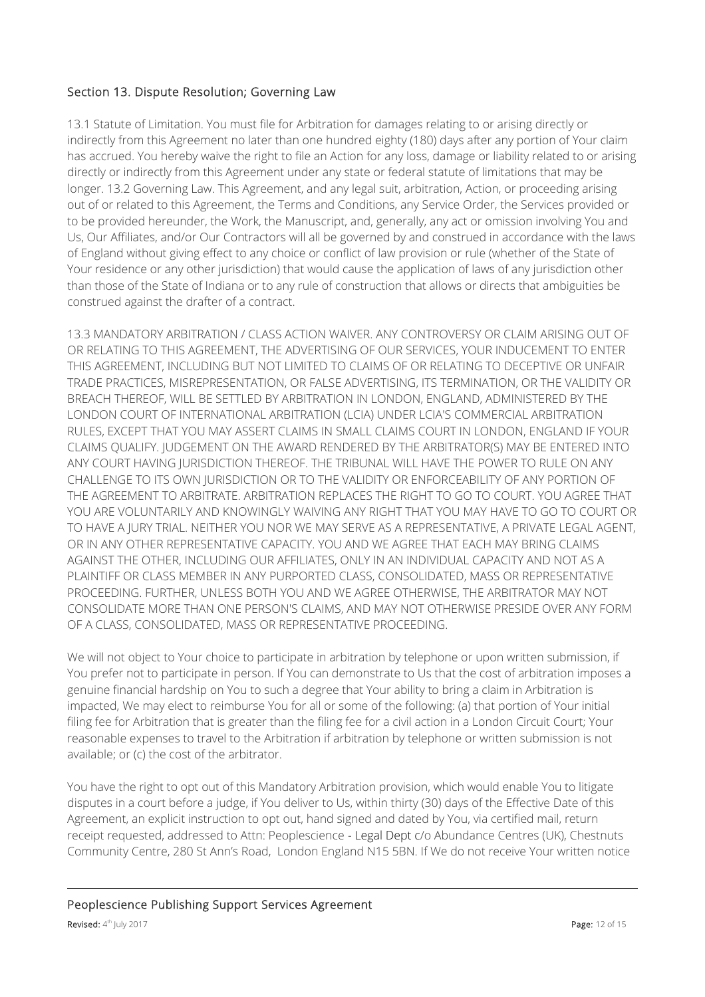### Section 13. Dispute Resolution; Governing Law

13.1 Statute of Limitation. You must file for Arbitration for damages relating to or arising directly or indirectly from this Agreement no later than one hundred eighty (180) days after any portion of Your claim has accrued. You hereby waive the right to file an Action for any loss, damage or liability related to or arising directly or indirectly from this Agreement under any state or federal statute of limitations that may be longer. 13.2 Governing Law. This Agreement, and any legal suit, arbitration, Action, or proceeding arising out of or related to this Agreement, the Terms and Conditions, any Service Order, the Services provided or to be provided hereunder, the Work, the Manuscript, and, generally, any act or omission involving You and Us, Our Affiliates, and/or Our Contractors will all be governed by and construed in accordance with the laws of England without giving effect to any choice or conflict of law provision or rule (whether of the State of Your residence or any other jurisdiction) that would cause the application of laws of any jurisdiction other than those of the State of Indiana or to any rule of construction that allows or directs that ambiguities be construed against the drafter of a contract.

13.3 MANDATORY ARBITRATION / CLASS ACTION WAIVER. ANY CONTROVERSY OR CLAIM ARISING OUT OF OR RELATING TO THIS AGREEMENT, THE ADVERTISING OF OUR SERVICES, YOUR INDUCEMENT TO ENTER THIS AGREEMENT, INCLUDING BUT NOT LIMITED TO CLAIMS OF OR RELATING TO DECEPTIVE OR UNFAIR TRADE PRACTICES, MISREPRESENTATION, OR FALSE ADVERTISING, ITS TERMINATION, OR THE VALIDITY OR BREACH THEREOF, WILL BE SETTLED BY ARBITRATION IN LONDON, ENGLAND, ADMINISTERED BY THE LONDON COURT OF INTERNATIONAL ARBITRATION (LCIA) UNDER LCIA'S COMMERCIAL ARBITRATION RULES, EXCEPT THAT YOU MAY ASSERT CLAIMS IN SMALL CLAIMS COURT IN LONDON, ENGLAND IF YOUR CLAIMS QUALIFY. JUDGEMENT ON THE AWARD RENDERED BY THE ARBITRATOR(S) MAY BE ENTERED INTO ANY COURT HAVING JURISDICTION THEREOF. THE TRIBUNAL WILL HAVE THE POWER TO RULE ON ANY CHALLENGE TO ITS OWN JURISDICTION OR TO THE VALIDITY OR ENFORCEABILITY OF ANY PORTION OF THE AGREEMENT TO ARBITRATE. ARBITRATION REPLACES THE RIGHT TO GO TO COURT. YOU AGREE THAT YOU ARE VOLUNTARILY AND KNOWINGLY WAIVING ANY RIGHT THAT YOU MAY HAVE TO GO TO COURT OR TO HAVE A JURY TRIAL. NEITHER YOU NOR WE MAY SERVE AS A REPRESENTATIVE, A PRIVATE LEGAL AGENT, OR IN ANY OTHER REPRESENTATIVE CAPACITY. YOU AND WE AGREE THAT EACH MAY BRING CLAIMS AGAINST THE OTHER, INCLUDING OUR AFFILIATES, ONLY IN AN INDIVIDUAL CAPACITY AND NOT AS A PLAINTIFF OR CLASS MEMBER IN ANY PURPORTED CLASS, CONSOLIDATED, MASS OR REPRESENTATIVE PROCEEDING. FURTHER, UNLESS BOTH YOU AND WE AGREE OTHERWISE, THE ARBITRATOR MAY NOT CONSOLIDATE MORE THAN ONE PERSON'S CLAIMS, AND MAY NOT OTHERWISE PRESIDE OVER ANY FORM OF A CLASS, CONSOLIDATED, MASS OR REPRESENTATIVE PROCEEDING.

We will not object to Your choice to participate in arbitration by telephone or upon written submission, if You prefer not to participate in person. If You can demonstrate to Us that the cost of arbitration imposes a genuine financial hardship on You to such a degree that Your ability to bring a claim in Arbitration is impacted, We may elect to reimburse You for all or some of the following: (a) that portion of Your initial filing fee for Arbitration that is greater than the filing fee for a civil action in a London Circuit Court; Your reasonable expenses to travel to the Arbitration if arbitration by telephone or written submission is not available; or (c) the cost of the arbitrator.

You have the right to opt out of this Mandatory Arbitration provision, which would enable You to litigate disputes in a court before a judge, if You deliver to Us, within thirty (30) days of the Effective Date of this Agreement, an explicit instruction to opt out, hand signed and dated by You, via certified mail, return receipt requested, addressed to Attn: Peoplescience - Legal Dept c/o Abundance Centres (UK), Chestnuts Community Centre, 280 St Ann's Road, London England N15 5BN. If We do not receive Your written notice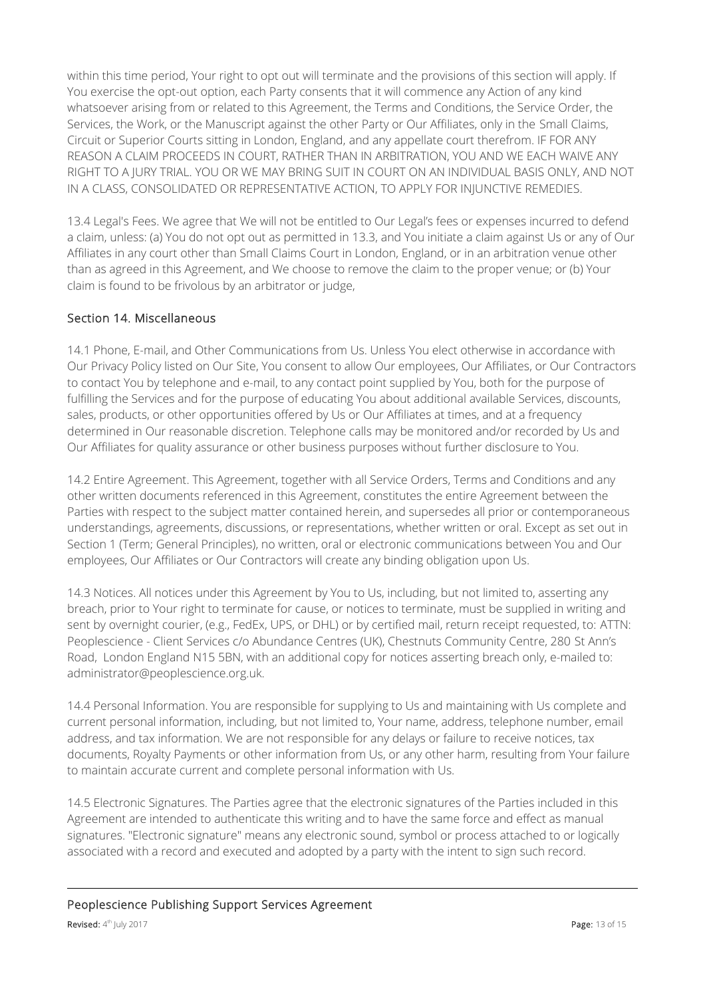within this time period, Your right to opt out will terminate and the provisions of this section will apply. If You exercise the opt-out option, each Party consents that it will commence any Action of any kind whatsoever arising from or related to this Agreement, the Terms and Conditions, the Service Order, the Services, the Work, or the Manuscript against the other Party or Our Affiliates, only in the Small Claims, Circuit or Superior Courts sitting in London, England, and any appellate court therefrom. IF FOR ANY REASON A CLAIM PROCEEDS IN COURT, RATHER THAN IN ARBITRATION, YOU AND WE EACH WAIVE ANY RIGHT TO A JURY TRIAL. YOU OR WE MAY BRING SUIT IN COURT ON AN INDIVIDUAL BASIS ONLY, AND NOT IN A CLASS, CONSOLIDATED OR REPRESENTATIVE ACTION, TO APPLY FOR INJUNCTIVE REMEDIES.

13.4 Legal's Fees. We agree that We will not be entitled to Our Legal's fees or expenses incurred to defend a claim, unless: (a) You do not opt out as permitted in 13.3, and You initiate a claim against Us or any of Our Affiliates in any court other than Small Claims Court in London, England, or in an arbitration venue other than as agreed in this Agreement, and We choose to remove the claim to the proper venue; or (b) Your claim is found to be frivolous by an arbitrator or judge,

### Section 14. Miscellaneous

14.1 Phone, E-mail, and Other Communications from Us. Unless You elect otherwise in accordance with Our Privacy Policy listed on Our Site, You consent to allow Our employees, Our Affiliates, or Our Contractors to contact You by telephone and e-mail, to any contact point supplied by You, both for the purpose of fulfilling the Services and for the purpose of educating You about additional available Services, discounts, sales, products, or other opportunities offered by Us or Our Affiliates at times, and at a frequency determined in Our reasonable discretion. Telephone calls may be monitored and/or recorded by Us and Our Affiliates for quality assurance or other business purposes without further disclosure to You.

14.2 Entire Agreement. This Agreement, together with all Service Orders, Terms and Conditions and any other written documents referenced in this Agreement, constitutes the entire Agreement between the Parties with respect to the subject matter contained herein, and supersedes all prior or contemporaneous understandings, agreements, discussions, or representations, whether written or oral. Except as set out in Section 1 (Term; General Principles), no written, oral or electronic communications between You and Our employees, Our Affiliates or Our Contractors will create any binding obligation upon Us.

14.3 Notices. All notices under this Agreement by You to Us, including, but not limited to, asserting any breach, prior to Your right to terminate for cause, or notices to terminate, must be supplied in writing and sent by overnight courier, (e.g., FedEx, UPS, or DHL) or by certified mail, return receipt requested, to: ATTN: Peoplescience - Client Services c/o Abundance Centres (UK), Chestnuts Community Centre, 280 St Ann's Road, London England N15 5BN, with an additional copy for notices asserting breach only, e-mailed to: administrator@peoplescience.org.uk.

14.4 Personal Information. You are responsible for supplying to Us and maintaining with Us complete and current personal information, including, but not limited to, Your name, address, telephone number, email address, and tax information. We are not responsible for any delays or failure to receive notices, tax documents, Royalty Payments or other information from Us, or any other harm, resulting from Your failure to maintain accurate current and complete personal information with Us.

14.5 Electronic Signatures. The Parties agree that the electronic signatures of the Parties included in this Agreement are intended to authenticate this writing and to have the same force and effect as manual signatures. "Electronic signature" means any electronic sound, symbol or process attached to or logically associated with a record and executed and adopted by a party with the intent to sign such record.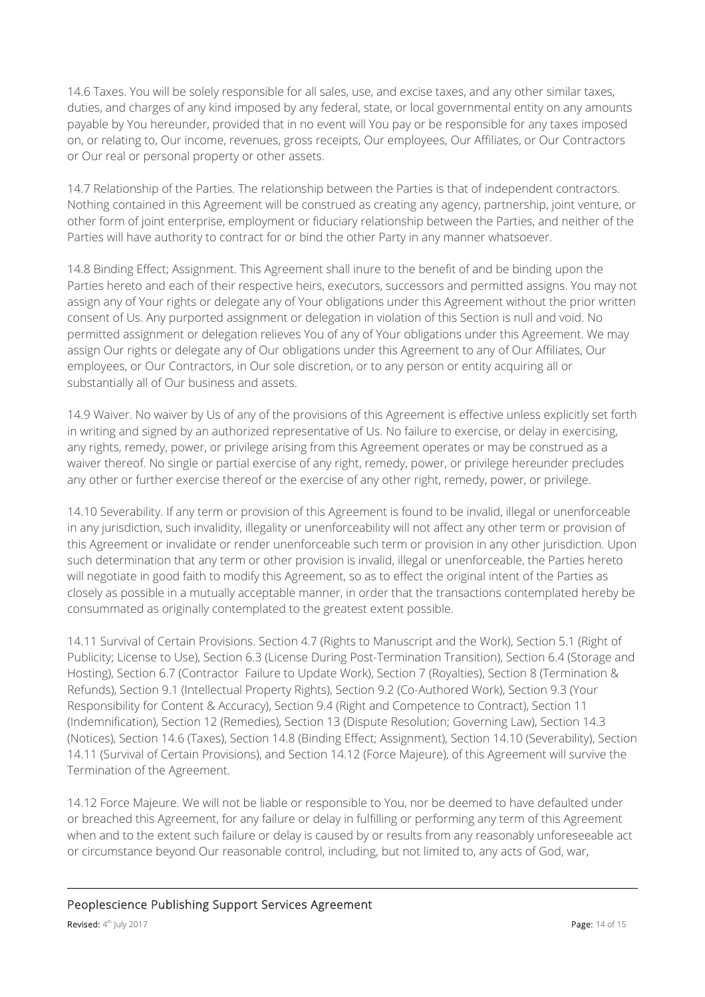14.6 Taxes. You will be solely responsible for all sales, use, and excise taxes, and any other similar taxes, duties, and charges of any kind imposed by any federal, state, or local governmental entity on any amounts payable by You hereunder, provided that in no event will You pay or be responsible for any taxes imposed on, or relating to, Our income, revenues, gross receipts, Our employees, Our Affiliates, or Our Contractors or Our real or personal property or other assets.

14.7 Relationship of the Parties. The relationship between the Parties is that of independent contractors. Nothing contained in this Agreement will be construed as creating any agency, partnership, joint venture, or other form of joint enterprise, employment or fiduciary relationship between the Parties, and neither of the Parties will have authority to contract for or bind the other Party in any manner whatsoever.

14.8 Binding Effect; Assignment. This Agreement shall inure to the benefit of and be binding upon the Parties hereto and each of their respective heirs, executors, successors and permitted assigns. You may not assign any of Your rights or delegate any of Your obligations under this Agreement without the prior written consent of Us. Any purported assignment or delegation in violation of this Section is null and void. No permitted assignment or delegation relieves You of any of Your obligations under this Agreement. We may assign Our rights or delegate any of Our obligations under this Agreement to any of Our Affiliates, Our employees, or Our Contractors, in Our sole discretion, or to any person or entity acquiring all or substantially all of Our business and assets.

14.9 Waiver. No waiver by Us of any of the provisions of this Agreement is effective unless explicitly set forth in writing and signed by an authorized representative of Us. No failure to exercise, or delay in exercising, any rights, remedy, power, or privilege arising from this Agreement operates or may be construed as a waiver thereof. No single or partial exercise of any right, remedy, power, or privilege hereunder precludes any other or further exercise thereof or the exercise of any other right, remedy, power, or privilege.

14.10 Severability. If any term or provision of this Agreement is found to be invalid, illegal or unenforceable in any jurisdiction, such invalidity, illegality or unenforceability will not affect any other term or provision of this Agreement or invalidate or render unenforceable such term or provision in any other jurisdiction. Upon such determination that any term or other provision is invalid, illegal or unenforceable, the Parties hereto will negotiate in good faith to modify this Agreement, so as to effect the original intent of the Parties as closely as possible in a mutually acceptable manner, in order that the transactions contemplated hereby be consummated as originally contemplated to the greatest extent possible.

14.11 Survival of Certain Provisions. Section 4.7 (Rights to Manuscript and the Work), Section 5.1 (Right of Publicity; License to Use), Section 6.3 (License During Post-Termination Transition), Section 6.4 (Storage and Hosting), Section 6.7 (Contractor Failure to Update Work), Section 7 (Royalties), Section 8 (Termination & Refunds), Section 9.1 (Intellectual Property Rights), Section 9.2 (Co-Authored Work), Section 9.3 (Your Responsibility for Content & Accuracy), Section 9.4 (Right and Competence to Contract), Section 11 (Indemnification), Section 12 (Remedies), Section 13 (Dispute Resolution; Governing Law), Section 14.3 (Notices), Section 14.6 (Taxes), Section 14.8 (Binding Effect; Assignment), Section 14.10 (Severability), Section 14.11 (Survival of Certain Provisions), and Section 14.12 (Force Majeure), of this Agreement will survive the Termination of the Agreement.

14.12 Force Majeure. We will not be liable or responsible to You, nor be deemed to have defaulted under or breached this Agreement, for any failure or delay in fulfilling or performing any term of this Agreement when and to the extent such failure or delay is caused by or results from any reasonably unforeseeable act or circumstance beyond Our reasonable control, including, but not limited to, any acts of God, war,